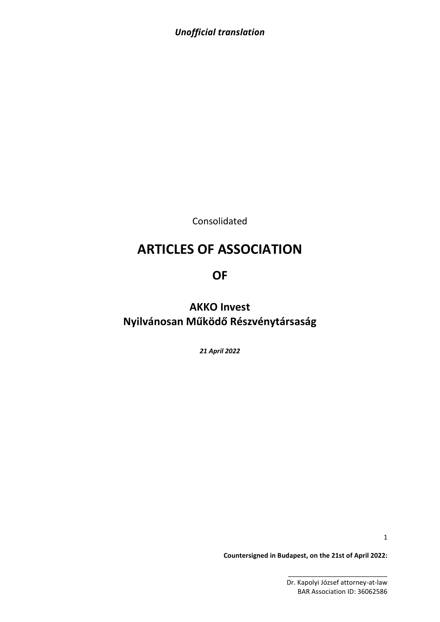Consolidated

# **ARTICLES OF ASSOCIATION**

# **OF**

**AKKO Invest Nyilvánosan Működő Részvénytársaság**

*21 April 2022*

1

**Countersigned in Budapest, on the 21st of April 2022:**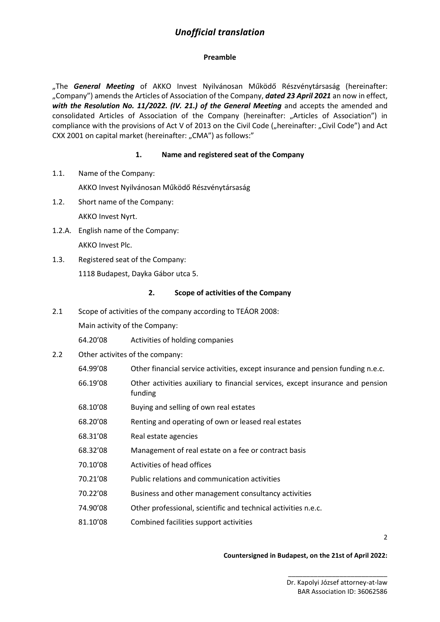### **Preamble**

"The **General Meeting** of AKKO Invest Nyilvánosan Működő Részvénytársaság (hereinafter: "Company") amends the Articles of Association of the Company, *dated 23 April 2021* an now in effect, *with the Resolution No. 11/2022. (IV. 21.) of the General Meeting* and accepts the amended and consolidated Articles of Association of the Company (hereinafter: "Articles of Association") in compliance with the provisions of Act V of 2013 on the Civil Code ("hereinafter: "Civil Code") and Act CXX 2001 on capital market (hereinafter: "CMA") as follows:"

### **1. Name and registered seat of the Company**

1.1. Name of the Company:

AKKO Invest Nyilvánosan Működő Részvénytársaság

- 1.2. Short name of the Company: AKKO Invest Nyrt.
- 1.2.A. English name of the Company: AKKO Invest Plc.
- 1.3. Registered seat of the Company: 1118 Budapest, Dayka Gábor utca 5.

### **2. Scope of activities of the Company**

2.1 Scope of activities of the company according to TEÁOR 2008:

Main activity of the Company:

- 64.20'08 Activities of holding companies
- 2.2 Other activites of the company:
	- 64.99'08 Other financial service activities, except insurance and pension funding n.e.c.
	- 66.19'08 Other activities auxiliary to financial services, except insurance and pension funding
	- 68.10'08 Buying and selling of own real estates
	- 68.20'08 Renting and operating of own or leased real estates
	- 68.31'08 Real estate agencies
	- 68.32'08 Management of real estate on a fee or contract basis
	- 70.10'08 Activities of head offices
	- 70.21'08 Public relations and communication activities
	- 70.22'08 Business and other management consultancy activities
	- 74.90'08 Other professional, scientific and technical activities n.e.c.
	- 81.10'08 Combined facilities support activities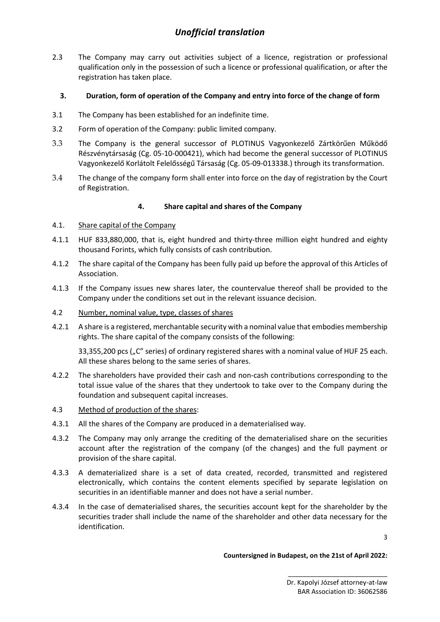2.3 The Company may carry out activities subject of a licence, registration or professional qualification only in the possession of such a licence or professional qualification, or after the registration has taken place.

### **3. Duration, form of operation of the Company and entry into force of the change of form**

- 3.1 The Company has been established for an indefinite time.
- 3.2 Form of operation of the Company: public limited company.
- 3.3 The Company is the general successor of PLOTINUS Vagyonkezelő Zártkörűen Működő Részvénytársaság (Cg. 05-10-000421), which had become the general successor of PLOTINUS Vagyonkezelő Korlátolt Felelősségű Társaság (Cg. 05-09-013338.) through its transformation.
- 3.4 The change of the company form shall enter into force on the day of registration by the Court of Registration.

## **4. Share capital and shares of the Company**

### 4.1. Share capital of the Company

- 4.1.1 HUF 833,880,000, that is, eight hundred and thirty-three million eight hundred and eighty thousand Forints, which fully consists of cash contribution.
- 4.1.2 The share capital of the Company has been fully paid up before the approval of this Articles of Association.
- 4.1.3 If the Company issues new shares later, the countervalue thereof shall be provided to the Company under the conditions set out in the relevant issuance decision.
- 4.2 Number, nominal value, type, classes of shares
- 4.2.1 A share is a registered, merchantable security with a nominal value that embodies membership rights. The share capital of the company consists of the following:

33,355,200 pcs ("C" series) of ordinary registered shares with a nominal value of HUF 25 each. All these shares belong to the same series of shares.

- 4.2.2 The shareholders have provided their cash and non-cash contributions corresponding to the total issue value of the shares that they undertook to take over to the Company during the foundation and subsequent capital increases.
- 4.3 Method of production of the shares:
- 4.3.1 All the shares of the Company are produced in a dematerialised way.
- 4.3.2 The Company may only arrange the crediting of the dematerialised share on the securities account after the registration of the company (of the changes) and the full payment or provision of the share capital.
- 4.3.3 A dematerialized share is a set of data created, recorded, transmitted and registered electronically, which contains the content elements specified by separate legislation on securities in an identifiable manner and does not have a serial number.
- 4.3.4 In the case of dematerialised shares, the securities account kept for the shareholder by the securities trader shall include the name of the shareholder and other data necessary for the identification.

3

#### **Countersigned in Budapest, on the 21st of April 2022:**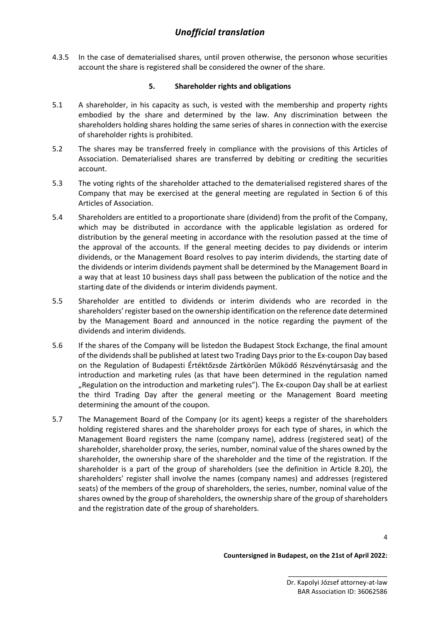4.3.5 In the case of dematerialised shares, until proven otherwise, the personon whose securities account the share is registered shall be considered the owner of the share.

### **5. Shareholder rights and obligations**

- 5.1 A shareholder, in his capacity as such, is vested with the membership and property rights embodied by the share and determined by the law. Any discrimination between the shareholders holding shares holding the same series of shares in connection with the exercise of shareholder rights is prohibited.
- 5.2 The shares may be transferred freely in compliance with the provisions of this Articles of Association. Dematerialised shares are transferred by debiting or crediting the securities account.
- 5.3 The voting rights of the shareholder attached to the dematerialised registered shares of the Company that may be exercised at the general meeting are regulated in Section 6 of this Articles of Association.
- 5.4 Shareholders are entitled to a proportionate share (dividend) from the profit of the Company, which may be distributed in accordance with the applicable legislation as ordered for distribution by the general meeting in accordance with the resolution passed at the time of the approval of the accounts. If the general meeting decides to pay dividends or interim dividends, or the Management Board resolves to pay interim dividends, the starting date of the dividends or interim dividends payment shall be determined by the Management Board in a way that at least 10 business days shall pass between the publication of the notice and the starting date of the dividends or interim dividends payment.
- 5.5 Shareholder are entitled to dividends or interim dividends who are recorded in the shareholders' register based on the ownership identification on the reference date determined by the Management Board and announced in the notice regarding the payment of the dividends and interim dividends.
- 5.6 If the shares of the Company will be listedon the Budapest Stock Exchange, the final amount of the dividendsshall be published at latest two Trading Days prior to the Ex-coupon Day based on the Regulation of Budapesti Értéktőzsde Zártkörűen Működő Részvénytársaság and the introduction and marketing rules (as that have been determined in the regulation named "Regulation on the introduction and marketing rules"). The Ex-coupon Day shall be at earliest the third Trading Day after the general meeting or the Management Board meeting determining the amount of the coupon.
- 5.7 The Management Board of the Company (or its agent) keeps a register of the shareholders holding registered shares and the shareholder proxys for each type of shares, in which the Management Board registers the name (company name), address (registered seat) of the shareholder, shareholder proxy, the series, number, nominal value of the shares owned by the shareholder, the ownership share of the shareholder and the time of the registration. If the shareholder is a part of the group of shareholders (see the definition in Article 8.20), the shareholders' register shall involve the names (company names) and addresses (registered seats) of the members of the group of shareholders, the series, number, nominal value of the shares owned by the group of shareholders, the ownership share of the group of shareholders and the registration date of the group of shareholders.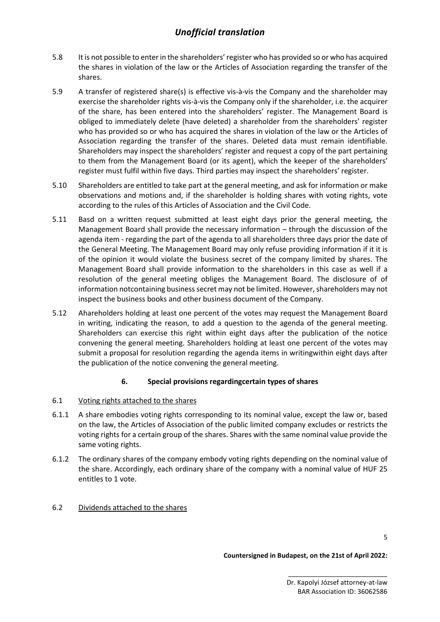- 5.8 It is not possible to enter in the shareholders' register who has provided so or who has acquired the shares in violation of the law or the Articles of Association regarding the transfer of the shares.
- 5.9 A transfer of registered share(s) is effective vis-à-vis the Company and the shareholder may exercise the shareholder rights vis-à-vis the Company only if the shareholder, i.e. the acquirer of the share, has been entered into the shareholders' register. The Management Board is obliged to immediately delete (have deleted) a shareholder from the shareholders' register who has provided so or who has acquired the shares in violation of the law or the Articles of Association regarding the transfer of the shares. Deleted data must remain identifiable. Shareholders may inspect the shareholders' register and request a copy of the part pertaining to them from the Management Board (or its agent), which the keeper of the shareholders' register must fulfil within five days. Third parties may inspect the shareholders' register.
- 5.10 Shareholders are entitled to take part at the general meeting, and ask for information or make observations and motions and, if the shareholder is holding shares with voting rights, vote according to the rules of this Articles of Association and the Civil Code.
- 5.11 Basd on a written request submitted at least eight days prior the general meeting, the Management Board shall provide the necessary information – through the discussion of the agenda item - regarding the part of the agenda to all shareholders three days prior the date of the General Meeting. The Management Board may only refuse providing information if it it is of the opinion it would violate the business secret of the company limited by shares. The Management Board shall provide information to the shareholders in this case as well if a resolution of the general meeting obliges the Management Board. The disclosure of of information notcontaining business secret may not be limited. However, shareholders may not inspect the business books and other business document of the Company.
- 5.12 Ahareholders holding at least one percent of the votes may request the Management Board in writing, indicating the reason, to add a question to the agenda of the general meeting. Shareholders can exercise this right within eight days after the publication of the notice convening the general meeting. Shareholders holding at least one percent of the votes may submit a proposal for resolution regarding the agenda items in writingwithin eight days after the publication of the notice convening the general meeting.

### **6. Special provisions regardingcertain types of shares**

- 6.1 Voting rights attached to the shares
- 6.1.1 A share embodies voting rights corresponding to its nominal value, except the law or, based on the law, the Articles of Association of the public limited company excludes or restricts the voting rights for a certain group of the shares. Shares with the same nominal value provide the same voting rights.
- 6.1.2 The ordinary shares of the company embody voting rights depending on the nominal value of the share. Accordingly, each ordinary share of the company with a nominal value of HUF 25 entitles to 1 vote.

# 6.2 Dividends attached to the shares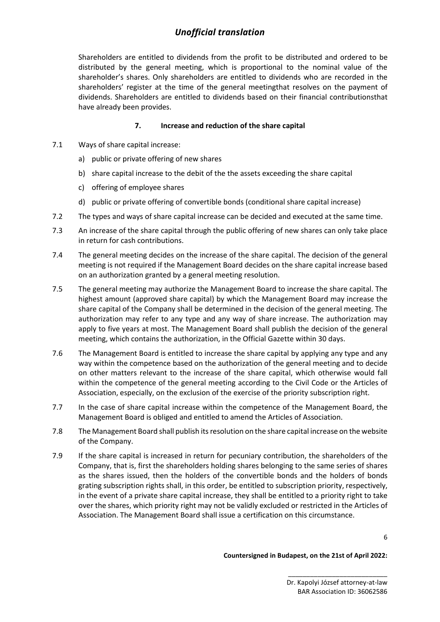Shareholders are entitled to dividends from the profit to be distributed and ordered to be distributed by the general meeting, which is proportional to the nominal value of the shareholder's shares. Only shareholders are entitled to dividends who are recorded in the shareholders' register at the time of the general meetingthat resolves on the payment of dividends. Shareholders are entitled to dividends based on their financial contributionsthat have already been provides.

### **7. Increase and reduction of the share capital**

- 7.1 Ways of share capital increase:
	- a) public or private offering of new shares
	- b) share capital increase to the debit of the the assets exceeding the share capital
	- c) offering of employee shares
	- d) public or private offering of convertible bonds (conditional share capital increase)
- 7.2 The types and ways of share capital increase can be decided and executed at the same time.
- 7.3 An increase of the share capital through the public offering of new shares can only take place in return for cash contributions.
- 7.4 The general meeting decides on the increase of the share capital. The decision of the general meeting is not required if the Management Board decides on the share capital increase based on an authorization granted by a general meeting resolution.
- 7.5 The general meeting may authorize the Management Board to increase the share capital. The highest amount (approved share capital) by which the Management Board may increase the share capital of the Company shall be determined in the decision of the general meeting. The authorization may refer to any type and any way of share increase. The authorization may apply to five years at most. The Management Board shall publish the decision of the general meeting, which contains the authorization, in the Official Gazette within 30 days.
- 7.6 The Management Board is entitled to increase the share capital by applying any type and any way within the competence based on the authorization of the general meeting and to decide on other matters relevant to the increase of the share capital, which otherwise would fall within the competence of the general meeting according to the Civil Code or the Articles of Association, especially, on the exclusion of the exercise of the priority subscription right.
- 7.7 In the case of share capital increase within the competence of the Management Board, the Management Board is obliged and entitled to amend the Articles of Association.
- 7.8 The Management Board shall publish its resolution on the share capital increase on the website of the Company.
- 7.9 If the share capital is increased in return for pecuniary contribution, the shareholders of the Company, that is, first the shareholders holding shares belonging to the same series of shares as the shares issued, then the holders of the convertible bonds and the holders of bonds grating subscription rights shall, in this order, be entitled to subscription priority, respectively, in the event of a private share capital increase, they shall be entitled to a priority right to take over the shares, which priority right may not be validly excluded or restricted in the Articles of Association. The Management Board shall issue a certification on this circumstance.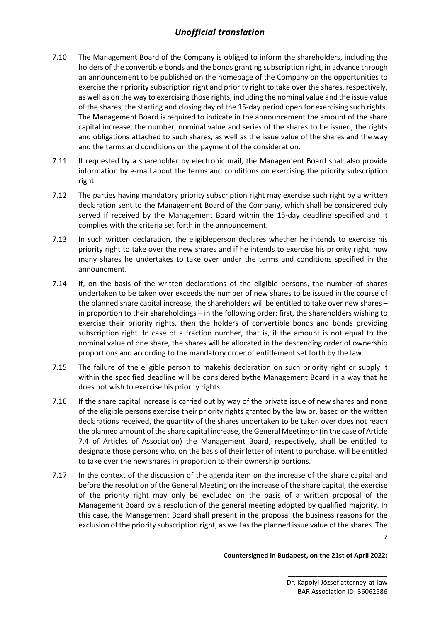- 7.10 The Management Board of the Company is obliged to inform the shareholders, including the holders of the convertible bonds and the bonds granting subscription right, in advance through an announcement to be published on the homepage of the Company on the opportunities to exercise their priority subscription right and priority right to take over the shares, respectively, as well as on the way to exercising those rights, including the nominal value and the issue value of the shares, the starting and closing day of the 15-day period open for exercising such rights. The Management Board is required to indicate in the announcement the amount of the share capital increase, the number, nominal value and series of the shares to be issued, the rights and obligations attached to such shares, as well as the issue value of the shares and the way and the terms and conditions on the payment of the consideration.
- 7.11 If requested by a shareholder by electronic mail, the Management Board shall also provide information by e-mail about the terms and conditions on exercising the priority subscription right.
- 7.12 The parties having mandatory priority subscription right may exercise such right by a written declaration sent to the Management Board of the Company, which shall be considered duly served if received by the Management Board within the 15-day deadline specified and it complies with the criteria set forth in the announcement.
- 7.13 In such written declaration, the eligibleperson declares whether he intends to exercise his priority right to take over the new shares and if he intends to exercise his priority right, how many shares he undertakes to take over under the terms and conditions specified in the announcment.
- 7.14 If, on the basis of the written declarations of the eligible persons, the number of shares undertaken to be taken over exceeds the number of new shares to be issued in the course of the planned share capital increase, the shareholders will be entitled to take over new shares – in proportion to their shareholdings – in the following order: first, the shareholders wishing to exercise their priority rights, then the holders of convertible bonds and bonds providing subscription right. In case of a fraction number, that is, if the amount is not equal to the nominal value of one share, the shares will be allocated in the descending order of ownership proportions and according to the mandatory order of entitlement set forth by the law.
- 7.15 The failure of the eligible person to makehis declaration on such priority right or supply it within the specified deadline will be considered bythe Management Board in a way that he does not wish to exercise his priority rights.
- 7.16 If the share capital increase is carried out by way of the private issue of new shares and none of the eligible persons exercise their priority rights granted by the law or, based on the written declarations received, the quantity of the shares undertaken to be taken over does not reach the planned amount of the share capital increase, the General Meeting or (in the case of Article 7.4 of Articles of Association) the Management Board, respectively, shall be entitled to designate those persons who, on the basis of their letter of intent to purchase, will be entitled to take over the new shares in proportion to their ownership portions.
- 7.17 In the context of the discussion of the agenda item on the increase of the share capital and before the resolution of the General Meeting on the increase of the share capital, the exercise of the priority right may only be excluded on the basis of a written proposal of the Management Board by a resolution of the general meeting adopted by qualified majority. In this case, the Management Board shall present in the proposal the business reasons for the exclusion of the priority subscription right, as well as the planned issue value of the shares. The

7

#### **Countersigned in Budapest, on the 21st of April 2022:**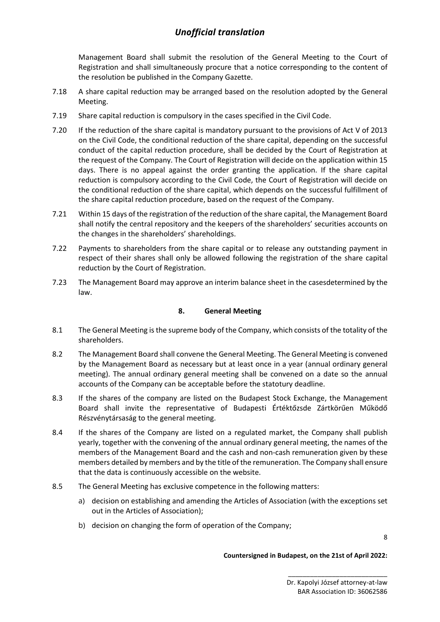Management Board shall submit the resolution of the General Meeting to the Court of Registration and shall simultaneously procure that a notice corresponding to the content of the resolution be published in the Company Gazette.

- 7.18 A share capital reduction may be arranged based on the resolution adopted by the General Meeting.
- 7.19 Share capital reduction is compulsory in the cases specified in the Civil Code.
- 7.20 If the reduction of the share capital is mandatory pursuant to the provisions of Act V of 2013 on the Civil Code, the conditional reduction of the share capital, depending on the successful conduct of the capital reduction procedure, shall be decided by the Court of Registration at the request of the Company. The Court of Registration will decide on the application within 15 days. There is no appeal against the order granting the application. If the share capital reduction is compulsory according to the Civil Code, the Court of Registration will decide on the conditional reduction of the share capital, which depends on the successful fulfillment of the share capital reduction procedure, based on the request of the Company.
- 7.21 Within 15 days of the registration of the reduction of the share capital, the Management Board shall notify the central repository and the keepers of the shareholders' securities accounts on the changes in the shareholders' shareholdings.
- 7.22 Payments to shareholders from the share capital or to release any outstanding payment in respect of their shares shall only be allowed following the registration of the share capital reduction by the Court of Registration.
- 7.23 The Management Board may approve an interim balance sheet in the casesdetermined by the law.

### **8. General Meeting**

- 8.1 The General Meeting is the supreme body of the Company, which consists of the totality of the shareholders.
- 8.2 The Management Board shall convene the General Meeting. The General Meeting is convened by the Management Board as necessary but at least once in a year (annual ordinary general meeting). The annual ordinary general meeting shall be convened on a date so the annual accounts of the Company can be acceptable before the statotury deadline.
- 8.3 If the shares of the company are listed on the Budapest Stock Exchange, the Management Board shall invite the representative of Budapesti Értéktőzsde Zártkörűen Működő Részvénytársaság to the general meeting.
- 8.4 If the shares of the Company are listed on a regulated market, the Company shall publish yearly, together with the convening of the annual ordinary general meeting, the names of the members of the Management Board and the cash and non-cash remuneration given by these members detailed by members and by the title of the remuneration. The Company shall ensure that the data is continuously accessible on the website.
- 8.5 The General Meeting has exclusive competence in the following matters:
	- a) decision on establishing and amending the Articles of Association (with the exceptions set out in the Articles of Association);
	- b) decision on changing the form of operation of the Company;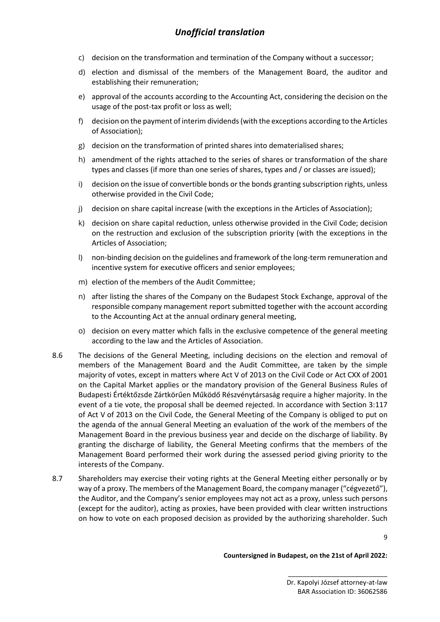- c) decision on the transformation and termination of the Company without a successor;
- d) election and dismissal of the members of the Management Board, the auditor and establishing their remuneration;
- e) approval of the accounts according to the Accounting Act, considering the decision on the usage of the post-tax profit or loss as well;
- f) decision on the payment of interim dividends(with the exceptions according to the Articles of Association);
- g) decision on the transformation of printed shares into dematerialised shares;
- h) amendment of the rights attached to the series of shares or transformation of the share types and classes (if more than one series of shares, types and / or classes are issued);
- i) decision on the issue of convertible bonds or the bonds granting subscription rights, unless otherwise provided in the Civil Code;
- j) decision on share capital increase (with the exceptions in the Articles of Association);
- k) decision on share capital reduction, unless otherwise provided in the Civil Code; decision on the restruction and exclusion of the subscription priority (with the exceptions in the Articles of Association;
- l) non-binding decision on the guidelines and framework of the long-term remuneration and incentive system for executive officers and senior employees;
- m) election of the members of the Audit Committee;
- n) after listing the shares of the Company on the Budapest Stock Exchange, approval of the responsible company management report submitted together with the account according to the Accounting Act at the annual ordinary general meeting,
- o) decision on every matter which falls in the exclusive competence of the general meeting according to the law and the Articles of Association.
- 8.6 The decisions of the General Meeting, including decisions on the election and removal of members of the Management Board and the Audit Committee, are taken by the simple majority of votes, except in matters where Act V of 2013 on the Civil Code or Act CXX of 2001 on the Capital Market applies or the mandatory provision of the General Business Rules of Budapesti Értéktőzsde Zártkörűen Működő Részvénytársaság require a higher majority. In the event of a tie vote, the proposal shall be deemed rejected. In accordance with Section 3:117 of Act V of 2013 on the Civil Code, the General Meeting of the Company is obliged to put on the agenda of the annual General Meeting an evaluation of the work of the members of the Management Board in the previous business year and decide on the discharge of liability. By granting the discharge of liability, the General Meeting confirms that the members of the Management Board performed their work during the assessed period giving priority to the interests of the Company.
- 8.7 Shareholders may exercise their voting rights at the General Meeting either personally or by way of a proxy. The members of the Management Board, the company manager ("cégvezető"), the Auditor, and the Company's senior employees may not act as a proxy, unless such persons (except for the auditor), acting as proxies, have been provided with clear written instructions on how to vote on each proposed decision as provided by the authorizing shareholder. Such

9

#### **Countersigned in Budapest, on the 21st of April 2022:**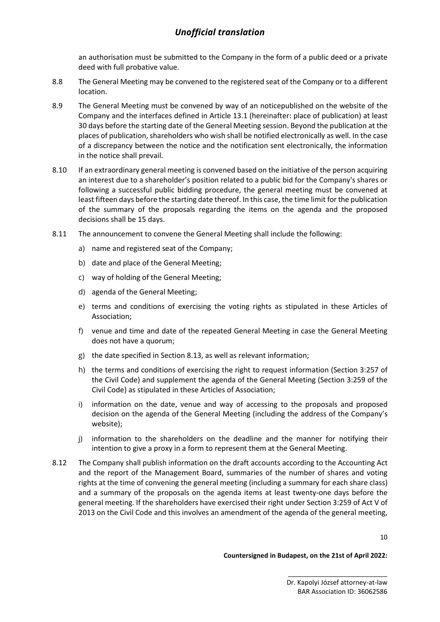an authorisation must be submitted to the Company in the form of a public deed or a private deed with full probative value.

- 8.8 The General Meeting may be convened to the registered seat of the Company or to a different location.
- 8.9 The General Meeting must be convened by way of an noticepublished on the website of the Company and the interfaces defined in Article 13.1 (hereinafter: place of publication) at least 30 days before the starting date of the General Meeting session. Beyond the publication at the places of publication, shareholders who wish shall be notified electronically as well. In the case of a discrepancy between the notice and the notification sent electronically, the information in the notice shall prevail.
- 8.10 If an extraordinary general meeting is convened based on the initiative of the person acquiring an interest due to a shareholder's position related to a public bid for the Company's shares or following a successful public bidding procedure, the general meeting must be convened at least fifteen days before the starting date thereof. In this case, the time limit for the publication of the summary of the proposals regarding the items on the agenda and the proposed decisions shall be 15 days.
- 8.11 The announcement to convene the General Meeting shall include the following:
	- a) name and registered seat of the Company;
	- b) date and place of the General Meeting;
	- c) way of holding of the General Meeting;
	- d) agenda of the General Meeting;
	- e) terms and conditions of exercising the voting rights as stipulated in these Articles of Association;
	- f) venue and time and date of the repeated General Meeting in case the General Meeting does not have a quorum;
	- g) the date specified in Section 8.13, as well as relevant information;
	- h) the terms and conditions of exercising the right to request information (Section 3:257 of the Civil Code) and supplement the agenda of the General Meeting (Section 3:259 of the Civil Code) as stipulated in these Articles of Association;
	- i) information on the date, venue and way of accessing to the proposals and proposed decision on the agenda of the General Meeting (including the address of the Company's website);
	- j) information to the shareholders on the deadline and the manner for notifying their intention to give a proxy in a form to represent them at the General Meeting.
- 8.12 The Company shall publish information on the draft accounts according to the Accounting Act and the report of the Management Board, summaries of the number of shares and voting rights at the time of convening the general meeting (including a summary for each share class) and a summary of the proposals on the agenda items at least twenty-one days before the general meeting. If the shareholders have exercised their right under Section 3:259 of Act V of 2013 on the Civil Code and this involves an amendment of the agenda of the general meeting,

10

**Countersigned in Budapest, on the 21st of April 2022:**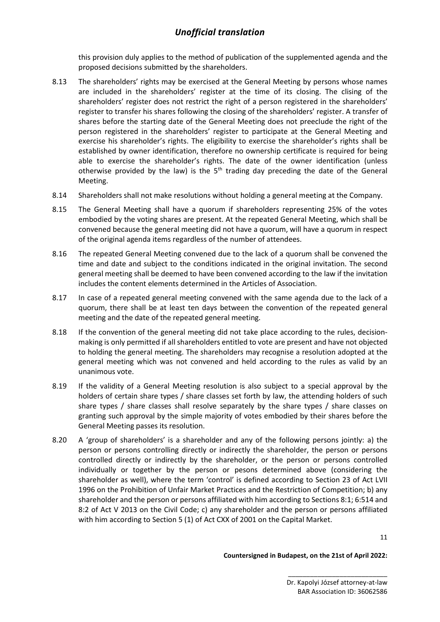this provision duly applies to the method of publication of the supplemented agenda and the proposed decisions submitted by the shareholders.

- 8.13 The shareholders' rights may be exercised at the General Meeting by persons whose names are included in the shareholders' register at the time of its closing. The clising of the shareholders' register does not restrict the right of a person registered in the shareholders' register to transfer his shares following the closing of the shareholders' register. A transfer of shares before the starting date of the General Meeting does not preeclude the right of the person registered in the shareholders' register to participate at the General Meeting and exercise his shareholder's rights. The eligibility to exercise the shareholder's rights shall be established by owner identification, therefore no ownership certificate is required for being able to exercise the shareholder's rights. The date of the owner identification (unless otherwise provided by the law) is the  $5<sup>th</sup>$  trading day preceding the date of the General Meeting.
- 8.14 Shareholders shall not make resolutions without holding a general meeting at the Company.
- 8.15 The General Meeting shall have a quorum if shareholders representing 25% of the votes embodied by the voting shares are present. At the repeated General Meeting, which shall be convened because the general meeting did not have a quorum, will have a quorum in respect of the original agenda items regardless of the number of attendees.
- 8.16 The repeated General Meeting convened due to the lack of a quorum shall be convened the time and date and subject to the conditions indicated in the original invitation. The second general meeting shall be deemed to have been convened according to the law if the invitation includes the content elements determined in the Articles of Association.
- 8.17 In case of a repeated general meeting convened with the same agenda due to the lack of a quorum, there shall be at least ten days between the convention of the repeated general meeting and the date of the repeated general meeting.
- 8.18 If the convention of the general meeting did not take place according to the rules, decisionmaking is only permitted if all shareholders entitled to vote are present and have not objected to holding the general meeting. The shareholders may recognise a resolution adopted at the general meeting which was not convened and held according to the rules as valid by an unanimous vote.
- 8.19 If the validity of a General Meeting resolution is also subject to a special approval by the holders of certain share types / share classes set forth by law, the attending holders of such share types / share classes shall resolve separately by the share types / share classes on granting such approval by the simple majority of votes embodied by their shares before the General Meeting passes its resolution.
- 8.20 A 'group of shareholders' is a shareholder and any of the following persons jointly: a) the person or persons controlling directly or indirectly the shareholder, the person or persons controlled directly or indirectly by the shareholder, or the person or persons controlled individually or together by the person or pesons determined above (considering the shareholder as well), where the term 'control' is defined according to Section 23 of Act LVII 1996 on the Prohibition of Unfair Market Practices and the Restriction of Competition; b) any shareholder and the person or persons affiliated with him according to Sections 8:1; 6:514 and 8:2 of Act V 2013 on the Civil Code; c) any shareholder and the person or persons affiliated with him according to Section 5 (1) of Act CXX of 2001 on the Capital Market.

**Countersigned in Budapest, on the 21st of April 2022:**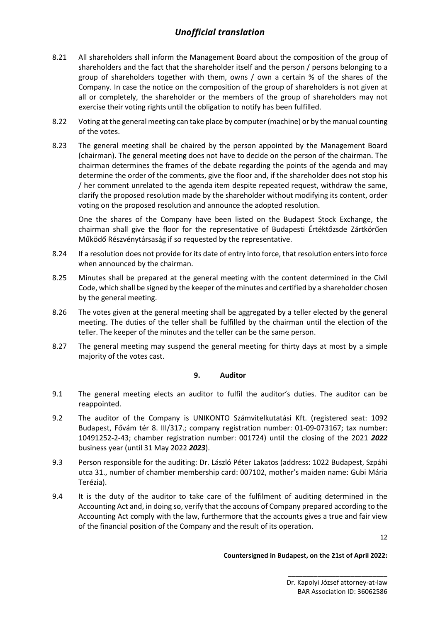- 8.21 All shareholders shall inform the Management Board about the composition of the group of shareholders and the fact that the shareholder itself and the person / persons belonging to a group of shareholders together with them, owns / own a certain % of the shares of the Company. In case the notice on the composition of the group of shareholders is not given at all or completely, the shareholder or the members of the group of shareholders may not exercise their voting rights until the obligation to notify has been fulfilled.
- 8.22 Voting at the general meeting can take place by computer (machine) or by the manual counting of the votes.
- 8.23 The general meeting shall be chaired by the person appointed by the Management Board (chairman). The general meeting does not have to decide on the person of the chairman. The chairman determines the frames of the debate regarding the points of the agenda and may determine the order of the comments, give the floor and, if the shareholder does not stop his / her comment unrelated to the agenda item despite repeated request, withdraw the same, clarify the proposed resolution made by the shareholder without modifying its content, order voting on the proposed resolution and announce the adopted resolution.

One the shares of the Company have been listed on the Budapest Stock Exchange, the chairman shall give the floor for the representative of Budapesti Értéktőzsde Zártkörűen Működő Részvénytársaság if so requested by the representative.

- 8.24 If a resolution does not provide for its date of entry into force, that resolution enters into force when announced by the chairman.
- 8.25 Minutes shall be prepared at the general meeting with the content determined in the Civil Code, which shall be signed by the keeper of the minutes and certified by a shareholder chosen by the general meeting.
- 8.26 The votes given at the general meeting shall be aggregated by a teller elected by the general meeting. The duties of the teller shall be fulfilled by the chairman until the election of the teller. The keeper of the minutes and the teller can be the same person.
- 8.27 The general meeting may suspend the general meeting for thirty days at most by a simple majority of the votes cast.

### **9. Auditor**

- 9.1 The general meeting elects an auditor to fulfil the auditor's duties. The auditor can be reappointed.
- 9.2 The auditor of the Company is UNIKONTO Számvitelkutatási Kft. (registered seat: 1092 Budapest, Fővám tér 8. III/317.; company registration number: 01-09-073167; tax number: 10491252-2-43; chamber registration number: 001724) until the closing of the 2021 *2022* business year (until 31 May 2022 *2023*).
- 9.3 Person responsible for the auditing: Dr. László Péter Lakatos (address: 1022 Budapest, Szpáhi utca 31., number of chamber membership card: 007102, mother's maiden name: Gubi Mária Terézia).
- 9.4 It is the duty of the auditor to take care of the fulfilment of auditing determined in the Accounting Act and, in doing so, verify that the accouns of Company prepared according to the Accounting Act comply with the law, furthermore that the accounts gives a true and fair view of the financial position of the Company and the result of its operation.

12

#### **Countersigned in Budapest, on the 21st of April 2022:**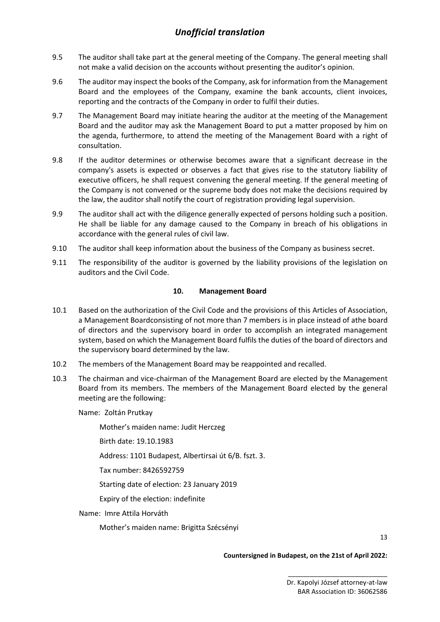- 9.5 The auditor shall take part at the general meeting of the Company. The general meeting shall not make a valid decision on the accounts without presenting the auditor's opinion.
- 9.6 The auditor may inspect the books of the Company, ask for information from the Management Board and the employees of the Company, examine the bank accounts, client invoices, reporting and the contracts of the Company in order to fulfil their duties.
- 9.7 The Management Board may initiate hearing the auditor at the meeting of the Management Board and the auditor may ask the Management Board to put a matter proposed by him on the agenda, furthermore, to attend the meeting of the Management Board with a right of consultation.
- 9.8 If the auditor determines or otherwise becomes aware that a significant decrease in the company's assets is expected or observes a fact that gives rise to the statutory liability of executive officers, he shall request convening the general meeting. If the general meeting of the Company is not convened or the supreme body does not make the decisions required by the law, the auditor shall notify the court of registration providing legal supervision.
- 9.9 The auditor shall act with the diligence generally expected of persons holding such a position. He shall be liable for any damage caused to the Company in breach of his obligations in accordance with the general rules of civil law.
- 9.10 The auditor shall keep information about the business of the Company as business secret.
- 9.11 The responsibility of the auditor is governed by the liability provisions of the legislation on auditors and the Civil Code.

### **10. Management Board**

- 10.1 Based on the authorization of the Civil Code and the provisions of this Articles of Association, a Management Boardconsisting of not more than 7 members is in place instead of athe board of directors and the supervisory board in order to accomplish an integrated management system, based on which the Management Board fulfils the duties of the board of directors and the supervisory board determined by the law.
- 10.2 The members of the Management Board may be reappointed and recalled.
- 10.3 The chairman and vice-chairman of the Management Board are elected by the Management Board from its members. The members of the Management Board elected by the general meeting are the following:

Name: Zoltán Prutkay

Mother's maiden name: Judit Herczeg

Birth date: 19.10.1983

Address: 1101 Budapest, Albertirsai út 6/B. fszt. 3.

Tax number: 8426592759

Starting date of election: 23 January 2019

Expiry of the election: indefinite

Name: Imre Attila Horváth

Mother's maiden name: Brigitta Szécsényi

13

#### **Countersigned in Budapest, on the 21st of April 2022:**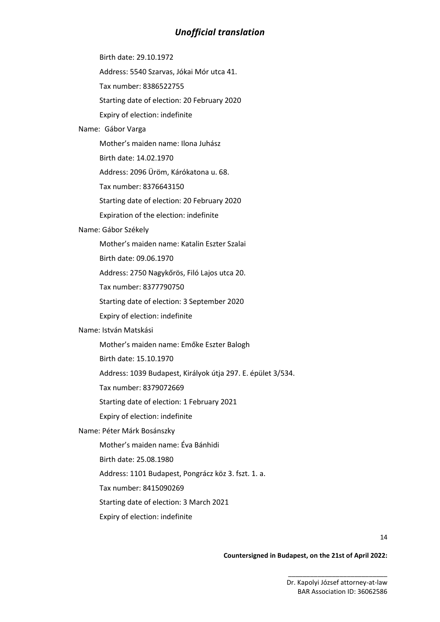Birth date: 29.10.1972

Address: 5540 Szarvas, Jókai Mór utca 41.

Tax number: 8386522755

Starting date of election: 20 February 2020

Expiry of election: indefinite

#### Name: Gábor Varga

Mother's maiden name: Ilona Juhász

Birth date: 14.02.1970

Address: 2096 Üröm, Kárókatona u. 68.

Tax number: 8376643150

Starting date of election: 20 February 2020

Expiration of the election: indefinite

#### Name: Gábor Székely

Mother's maiden name: Katalin Eszter Szalai

Birth date: 09.06.1970

Address: 2750 Nagykőrös, Filó Lajos utca 20.

Tax number: 8377790750

Starting date of election: 3 September 2020

Expiry of election: indefinite

### Name: István Matskási

Mother's maiden name: Emőke Eszter Balogh

Birth date: 15.10.1970

Address: 1039 Budapest, Királyok útja 297. E. épület 3/534.

Tax number: 8379072669

Starting date of election: 1 February 2021

Expiry of election: indefinite

#### Name: Péter Márk Bosánszky

Mother's maiden name: Éva Bánhidi

Birth date: 25.08.1980

Address: 1101 Budapest, Pongrácz köz 3. fszt. 1. a.

Tax number: 8415090269

Starting date of election: 3 March 2021

Expiry of election: indefinite

14

#### **Countersigned in Budapest, on the 21st of April 2022:**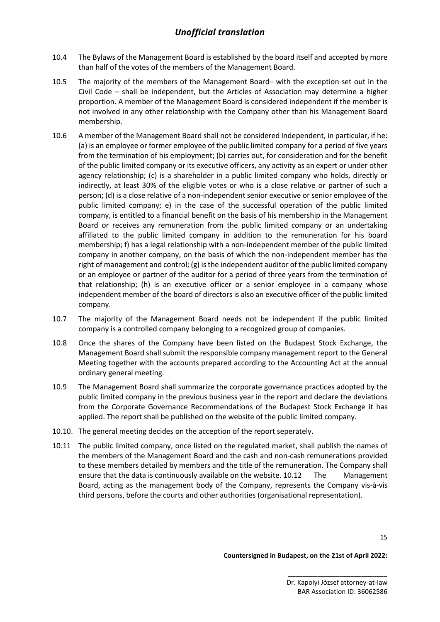- 10.4 The Bylaws of the Management Board is established by the board itself and accepted by more than half of the votes of the members of the Management Board.
- 10.5 The majority of the members of the Management Board– with the exception set out in the Civil Code – shall be independent, but the Articles of Association may determine a higher proportion. A member of the Management Board is considered independent if the member is not involved in any other relationship with the Company other than his Management Board membership.
- 10.6 A member of the Management Board shall not be considered independent, in particular, if he: (a) is an employee or former employee of the public limited company for a period of five years from the termination of his employment; (b) carries out, for consideration and for the benefit of the public limited company or its executive officers, any activity as an expert or under other agency relationship; (c) is a shareholder in a public limited company who holds, directly or indirectly, at least 30% of the eligible votes or who is a close relative or partner of such a person; (d) is a close relative of a non-independent senior executive or senior employee of the public limited company; e) in the case of the successful operation of the public limited company, is entitled to a financial benefit on the basis of his membership in the Management Board or receives any remuneration from the public limited company or an undertaking affiliated to the public limited company in addition to the remuneration for his board membership; f) has a legal relationship with a non-independent member of the public limited company in another company, on the basis of which the non-independent member has the right of management and control; (g) is the independent auditor of the public limited company or an employee or partner of the auditor for a period of three years from the termination of that relationship; (h) is an executive officer or a senior employee in a company whose independent member of the board of directors is also an executive officer of the public limited company.
- 10.7 The majority of the Management Board needs not be independent if the public limited company is a controlled company belonging to a recognized group of companies.
- 10.8 Once the shares of the Company have been listed on the Budapest Stock Exchange, the Management Board shall submit the responsible company management report to the General Meeting together with the accounts prepared according to the Accounting Act at the annual ordinary general meeting.
- 10.9 The Management Board shall summarize the corporate governance practices adopted by the public limited company in the previous business year in the report and declare the deviations from the Corporate Governance Recommendations of the Budapest Stock Exchange it has applied. The report shall be published on the website of the public limited company.
- 10.10. The general meeting decides on the acception of the report seperately.
- 10.11 The public limited company, once listed on the regulated market, shall publish the names of the members of the Management Board and the cash and non-cash remunerations provided to these members detailed by members and the title of the remuneration. The Company shall ensure that the data is continuously available on the website. 10.12 The Management Board, acting as the management body of the Company, represents the Company vis-à-vis third persons, before the courts and other authorities (organisational representation).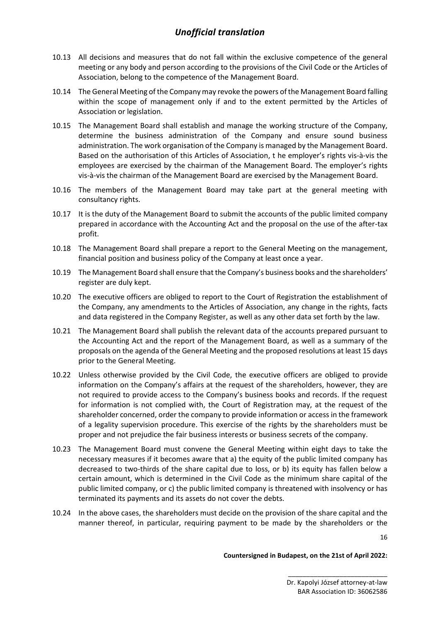- 10.13 All decisions and measures that do not fall within the exclusive competence of the general meeting or any body and person according to the provisions of the Civil Code or the Articles of Association, belong to the competence of the Management Board.
- 10.14 The General Meeting of the Company may revoke the powers of the Management Board falling within the scope of management only if and to the extent permitted by the Articles of Association or legislation.
- 10.15 The Management Board shall establish and manage the working structure of the Company, determine the business administration of the Company and ensure sound business administration. The work organisation of the Company is managed by the Management Board. Based on the authorisation of this Articles of Association, t he employer's rights vis-à-vis the employees are exercised by the chairman of the Management Board. The employer's rights vis-à-vis the chairman of the Management Board are exercised by the Management Board.
- 10.16 The members of the Management Board may take part at the general meeting with consultancy rights.
- 10.17 It is the duty of the Management Board to submit the accounts of the public limited company prepared in accordance with the Accounting Act and the proposal on the use of the after-tax profit.
- 10.18 The Management Board shall prepare a report to the General Meeting on the management, financial position and business policy of the Company at least once a year.
- 10.19 The Management Board shall ensure that the Company's business books and the shareholders' register are duly kept.
- 10.20 The executive officers are obliged to report to the Court of Registration the establishment of the Company, any amendments to the Articles of Association, any change in the rights, facts and data registered in the Company Register, as well as any other data set forth by the law.
- 10.21 The Management Board shall publish the relevant data of the accounts prepared pursuant to the Accounting Act and the report of the Management Board, as well as a summary of the proposals on the agenda of the General Meeting and the proposed resolutions at least 15 days prior to the General Meeting.
- 10.22 Unless otherwise provided by the Civil Code, the executive officers are obliged to provide information on the Company's affairs at the request of the shareholders, however, they are not required to provide access to the Company's business books and records. If the request for information is not complied with, the Court of Registration may, at the request of the shareholder concerned, order the company to provide information or access in the framework of a legality supervision procedure. This exercise of the rights by the shareholders must be proper and not prejudice the fair business interests or business secrets of the company.
- 10.23 The Management Board must convene the General Meeting within eight days to take the necessary measures if it becomes aware that a) the equity of the public limited company has decreased to two-thirds of the share capital due to loss, or b) its equity has fallen below a certain amount, which is determined in the Civil Code as the minimum share capital of the public limited company, or c) the public limited company is threatened with insolvency or has terminated its payments and its assets do not cover the debts.
- 10.24 In the above cases, the shareholders must decide on the provision of the share capital and the manner thereof, in particular, requiring payment to be made by the shareholders or the

16

#### **Countersigned in Budapest, on the 21st of April 2022:**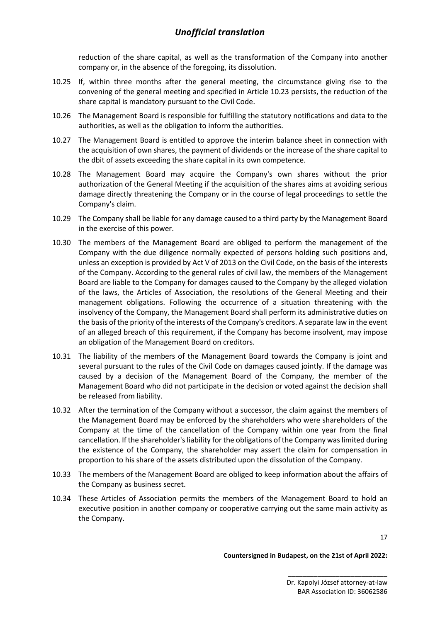reduction of the share capital, as well as the transformation of the Company into another company or, in the absence of the foregoing, its dissolution.

- 10.25 If, within three months after the general meeting, the circumstance giving rise to the convening of the general meeting and specified in Article 10.23 persists, the reduction of the share capital is mandatory pursuant to the Civil Code.
- 10.26 The Management Board is responsible for fulfilling the statutory notifications and data to the authorities, as well as the obligation to inform the authorities.
- 10.27 The Management Board is entitled to approve the interim balance sheet in connection with the acquisition of own shares, the payment of dividends or the increase of the share capital to the dbit of assets exceeding the share capital in its own competence.
- 10.28 The Management Board may acquire the Company's own shares without the prior authorization of the General Meeting if the acquisition of the shares aims at avoiding serious damage directly threatening the Company or in the course of legal proceedings to settle the Company's claim.
- 10.29 The Company shall be liable for any damage caused to a third party by the Management Board in the exercise of this power.
- 10.30 The members of the Management Board are obliged to perform the management of the Company with the due diligence normally expected of persons holding such positions and, unless an exception is provided by Act V of 2013 on the Civil Code, on the basis of the interests of the Company. According to the general rules of civil law, the members of the Management Board are liable to the Company for damages caused to the Company by the alleged violation of the laws, the Articles of Association, the resolutions of the General Meeting and their management obligations. Following the occurrence of a situation threatening with the insolvency of the Company, the Management Board shall perform its administrative duties on the basis of the priority of the interests of the Company's creditors. A separate law in the event of an alleged breach of this requirement, if the Company has become insolvent, may impose an obligation of the Management Board on creditors.
- 10.31 The liability of the members of the Management Board towards the Company is joint and several pursuant to the rules of the Civil Code on damages caused jointly. If the damage was caused by a decision of the Management Board of the Company, the member of the Management Board who did not participate in the decision or voted against the decision shall be released from liability.
- 10.32 After the termination of the Company without a successor, the claim against the members of the Management Board may be enforced by the shareholders who were shareholders of the Company at the time of the cancellation of the Company within one year from the final cancellation. If the shareholder's liability for the obligations of the Company was limited during the existence of the Company, the shareholder may assert the claim for compensation in proportion to his share of the assets distributed upon the dissolution of the Company.
- 10.33 The members of the Management Board are obliged to keep information about the affairs of the Company as business secret.
- 10.34 These Articles of Association permits the members of the Management Board to hold an executive position in another company or cooperative carrying out the same main activity as the Company.

17

**Countersigned in Budapest, on the 21st of April 2022:**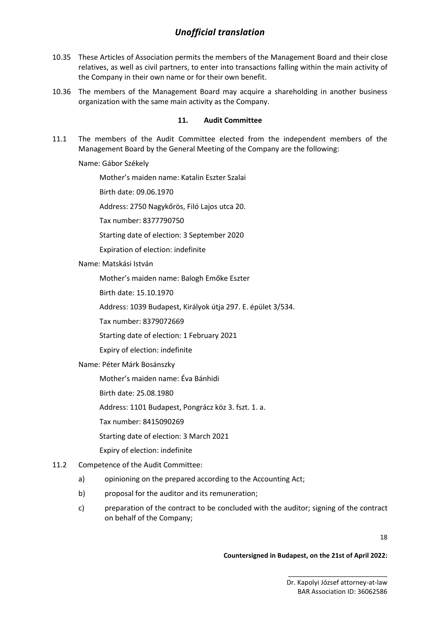- 10.35 These Articles of Association permits the members of the Management Board and their close relatives, as well as civil partners, to enter into transactions falling within the main activity of the Company in their own name or for their own benefit.
- 10.36 The members of the Management Board may acquire a shareholding in another business organization with the same main activity as the Company.

### **11. Audit Committee**

11.1 The members of the Audit Committee elected from the independent members of the Management Board by the General Meeting of the Company are the following:

Name: Gábor Székely

Mother's maiden name: Katalin Eszter Szalai

Birth date: 09.06.1970

Address: 2750 Nagykőrös, Filó Lajos utca 20.

Tax number: 8377790750

Starting date of election: 3 September 2020

Expiration of election: indefinite

#### Name: Matskási István

Mother's maiden name: Balogh Emőke Eszter

Birth date: 15.10.1970

Address: 1039 Budapest, Királyok útja 297. E. épület 3/534.

Tax number: 8379072669

Starting date of election: 1 February 2021

Expiry of election: indefinite

Name: Péter Márk Bosánszky

Mother's maiden name: Éva Bánhidi

Birth date: 25.08.1980

Address: 1101 Budapest, Pongrácz köz 3. fszt. 1. a.

Tax number: 8415090269

Starting date of election: 3 March 2021

Expiry of election: indefinite

### 11.2 Competence of the Audit Committee:

- a) opinioning on the prepared according to the Accounting Act;
- b) proposal for the auditor and its remuneration;
- c) preparation of the contract to be concluded with the auditor; signing of the contract on behalf of the Company;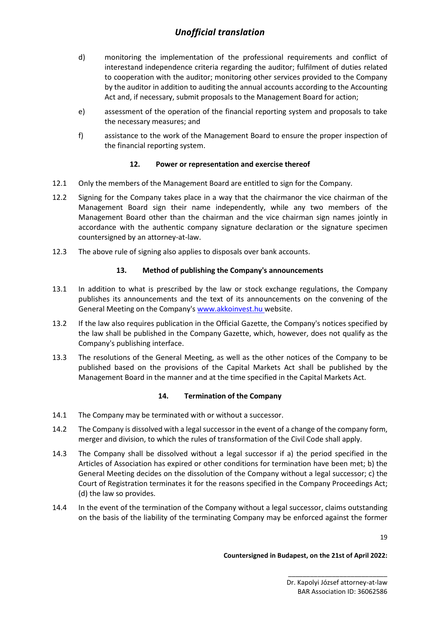- d) monitoring the implementation of the professional requirements and conflict of interestand independence criteria regarding the auditor; fulfilment of duties related to cooperation with the auditor; monitoring other services provided to the Company by the auditor in addition to auditing the annual accounts according to the Accounting Act and, if necessary, submit proposals to the Management Board for action;
- e) assessment of the operation of the financial reporting system and proposals to take the necessary measures; and
- f) assistance to the work of the Management Board to ensure the proper inspection of the financial reporting system.

### **12. Power or representation and exercise thereof**

- 12.1 Only the members of the Management Board are entitled to sign for the Company.
- 12.2 Signing for the Company takes place in a way that the chairmanor the vice chairman of the Management Board sign their name independently, while any two members of the Management Board other than the chairman and the vice chairman sign names jointly in accordance with the authentic company signature declaration or the signature specimen countersigned by an attorney-at-law.
- 12.3 The above rule of signing also applies to disposals over bank accounts.

### **13. Method of publishing the Company's announcements**

- 13.1 In addition to what is prescribed by the law or stock exchange regulations, the Company publishes its announcements and the text of its announcements on the convening of the General Meeting on the Company's [www.akkoinvest.hu](http://www.akkoinvest.hu/) website.
- 13.2 If the law also requires publication in the Official Gazette, the Company's notices specified by the law shall be published in the Company Gazette, which, however, does not qualify as the Company's publishing interface.
- 13.3 The resolutions of the General Meeting, as well as the other notices of the Company to be published based on the provisions of the Capital Markets Act shall be published by the Management Board in the manner and at the time specified in the Capital Markets Act.

#### **14. Termination of the Company**

- 14.1 The Company may be terminated with or without a successor.
- 14.2 The Company is dissolved with a legal successor in the event of a change of the company form, merger and division, to which the rules of transformation of the Civil Code shall apply.
- 14.3 The Company shall be dissolved without a legal successor if a) the period specified in the Articles of Association has expired or other conditions for termination have been met; b) the General Meeting decides on the dissolution of the Company without a legal successor; c) the Court of Registration terminates it for the reasons specified in the Company Proceedings Act; (d) the law so provides.
- 14.4 In the event of the termination of the Company without a legal successor, claims outstanding on the basis of the liability of the terminating Company may be enforced against the former

19

#### **Countersigned in Budapest, on the 21st of April 2022:**